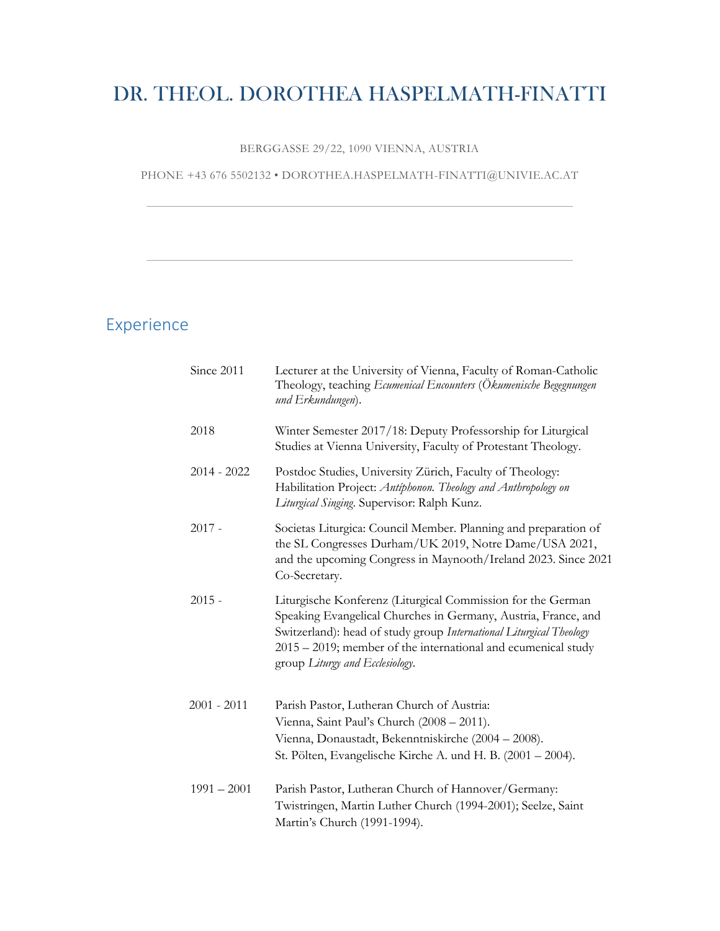# DR. THEOL. DOROTHEA HASPELMATH-FINATTI

BERGGASSE 29/22, 1090 VIENNA, AUSTRIA

PHONE +43 676 5502132 • DOROTHEA.HASPELMATH-FINATTI@UNIVIE.AC.AT

### Experience

| Since 2011    | Lecturer at the University of Vienna, Faculty of Roman-Catholic<br>Theology, teaching Ecumenical Encounters (Ökumenische Begegnungen<br>und Erkundungen).                                                                                                                                                   |
|---------------|-------------------------------------------------------------------------------------------------------------------------------------------------------------------------------------------------------------------------------------------------------------------------------------------------------------|
| 2018          | Winter Semester 2017/18: Deputy Professorship for Liturgical<br>Studies at Vienna University, Faculty of Protestant Theology.                                                                                                                                                                               |
| $2014 - 2022$ | Postdoc Studies, University Zürich, Faculty of Theology:<br>Habilitation Project: Antiphonon. Theology and Anthropology on<br>Liturgical Singing. Supervisor: Ralph Kunz.                                                                                                                                   |
| $2017 -$      | Societas Liturgica: Council Member. Planning and preparation of<br>the SL Congresses Durham/UK 2019, Notre Dame/USA 2021,<br>and the upcoming Congress in Maynooth/Ireland 2023. Since 2021<br>Co-Secretary.                                                                                                |
| $2015 -$      | Liturgische Konferenz (Liturgical Commission for the German<br>Speaking Evangelical Churches in Germany, Austria, France, and<br>Switzerland): head of study group International Liturgical Theology<br>$2015 - 2019$ ; member of the international and ecumenical study<br>group Liturgy and Ecclesiology. |
| $2001 - 2011$ | Parish Pastor, Lutheran Church of Austria:<br>Vienna, Saint Paul's Church (2008 - 2011).<br>Vienna, Donaustadt, Bekenntniskirche (2004 – 2008).<br>St. Pölten, Evangelische Kirche A. und H. B. (2001 – 2004).                                                                                              |
| $1991 - 2001$ | Parish Pastor, Lutheran Church of Hannover/Germany:<br>Twistringen, Martin Luther Church (1994-2001); Seelze, Saint<br>Martin's Church (1991-1994).                                                                                                                                                         |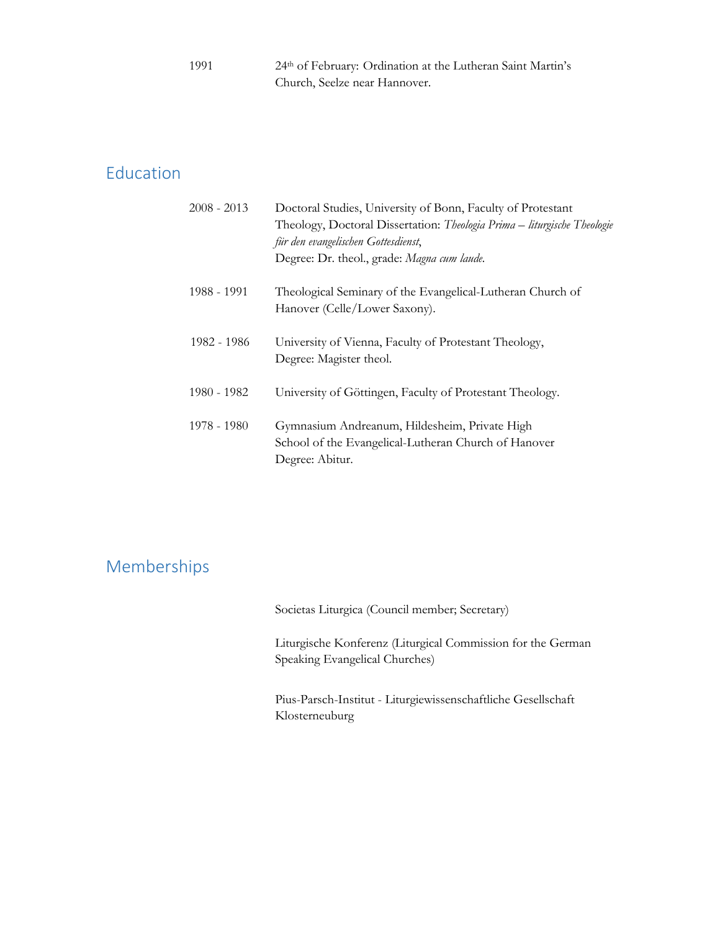| 1991 | 24th of February: Ordination at the Lutheran Saint Martin's |
|------|-------------------------------------------------------------|
|      | Church, Seelze near Hannover.                               |

# Education

| $2008 - 2013$ | Doctoral Studies, University of Bonn, Faculty of Protestant<br>Theology, Doctoral Dissertation: Theologia Prima - liturgische Theologie<br>für den evangelischen Gottesdienst, |
|---------------|--------------------------------------------------------------------------------------------------------------------------------------------------------------------------------|
|               | Degree: Dr. theol., grade: Magna cum laude.                                                                                                                                    |
| 1988 - 1991   | Theological Seminary of the Evangelical-Lutheran Church of<br>Hanover (Celle/Lower Saxony).                                                                                    |
| 1982 - 1986   | University of Vienna, Faculty of Protestant Theology,<br>Degree: Magister theol.                                                                                               |
| 1980 - 1982   | University of Göttingen, Faculty of Protestant Theology.                                                                                                                       |
| 1978 - 1980   | Gymnasium Andreanum, Hildesheim, Private High<br>School of the Evangelical-Lutheran Church of Hanover<br>Degree: Abitur.                                                       |

# Memberships

Societas Liturgica (Council member; Secretary)

Liturgische Konferenz (Liturgical Commission for the German Speaking Evangelical Churches)

Pius-Parsch-Institut - Liturgiewissenschaftliche Gesellschaft Klosterneuburg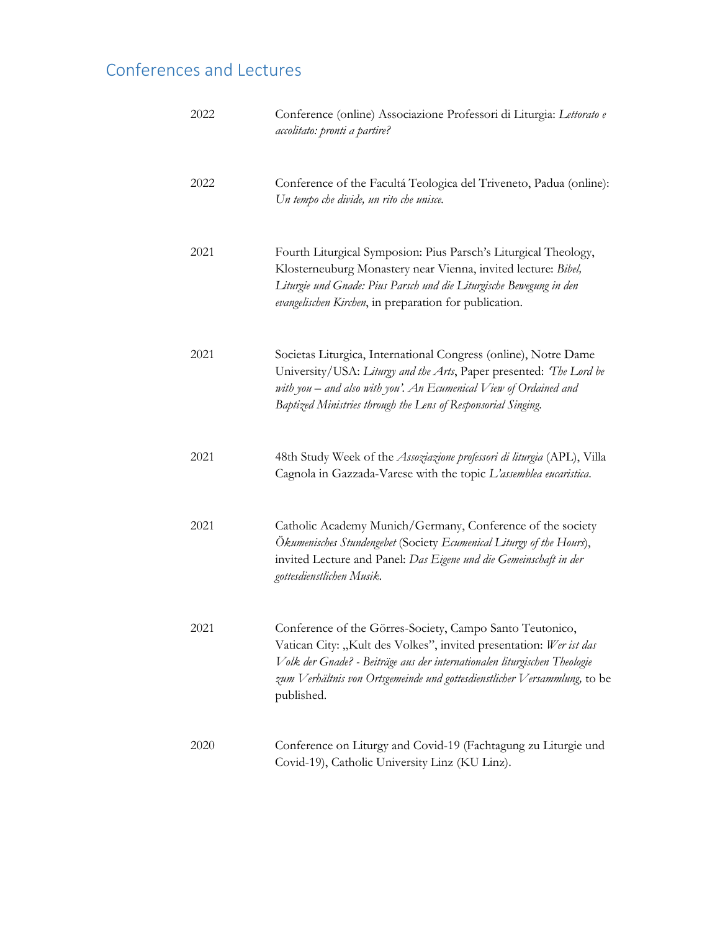# Conferences and Lectures

| 2022 | Conference (online) Associazione Professori di Liturgia: Lettorato e<br>accolitato: pronti a partire?                                                                                                                                                                                                  |
|------|--------------------------------------------------------------------------------------------------------------------------------------------------------------------------------------------------------------------------------------------------------------------------------------------------------|
| 2022 | Conference of the Facultá Teologica del Triveneto, Padua (online):<br>Un tempo che divide, un rito che unisce.                                                                                                                                                                                         |
| 2021 | Fourth Liturgical Symposion: Pius Parsch's Liturgical Theology,<br>Klosterneuburg Monastery near Vienna, invited lecture: Bibel,<br>Liturgie und Gnade: Pius Parsch und die Liturgische Bewegung in den<br>evangelischen Kirchen, in preparation for publication.                                      |
| 2021 | Societas Liturgica, International Congress (online), Notre Dame<br>University/USA: Liturgy and the Arts, Paper presented: The Lord be<br>with you $-$ and also with you'. An Ecumenical View of Ordained and<br>Baptized Ministries through the Lens of Responsorial Singing.                          |
| 2021 | 48th Study Week of the Assoziazione professori di liturgia (APL), Villa<br>Cagnola in Gazzada-Varese with the topic L'assemblea eucaristica.                                                                                                                                                           |
| 2021 | Catholic Academy Munich/Germany, Conference of the society<br>Ökumenisches Stundengebet (Society Ecumenical Liturgy of the Hours),<br>invited Lecture and Panel: Das Eigene und die Gemeinschaft in der<br>gottesdienstlichen Musik.                                                                   |
| 2021 | Conference of the Görres-Society, Campo Santo Teutonico,<br>Vatican City: "Kult des Volkes", invited presentation: Wer ist das<br>Volk der Gnade? - Beiträge aus der internationalen liturgischen Theologie<br>zum Verhältnis von Ortsgemeinde und gottesdienstlicher Versammlung, to be<br>published. |
| 2020 | Conference on Liturgy and Covid-19 (Fachtagung zu Liturgie und<br>Covid-19), Catholic University Linz (KU Linz).                                                                                                                                                                                       |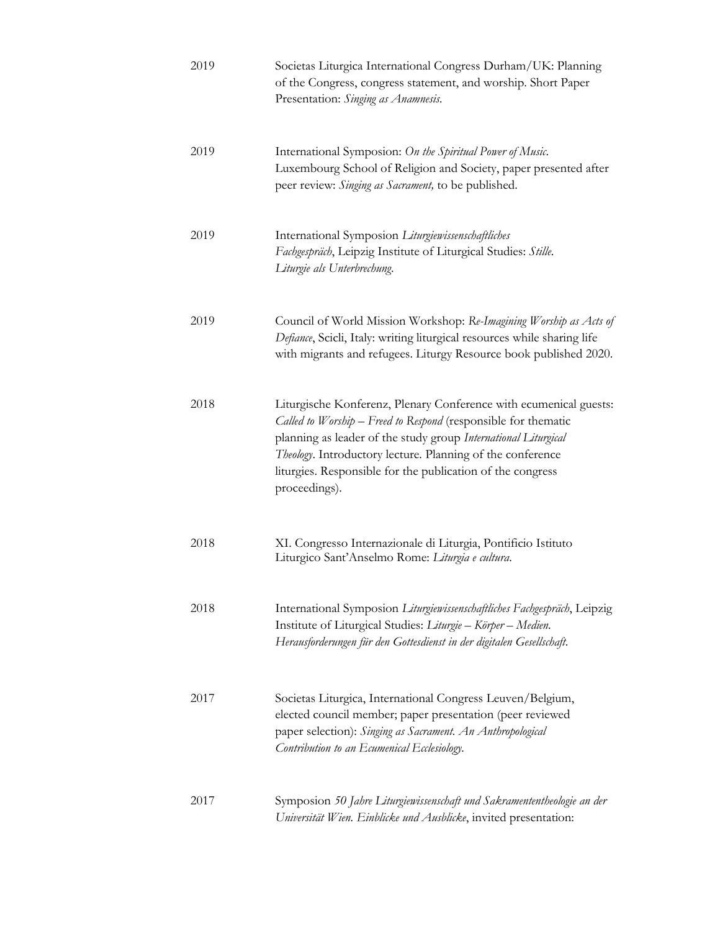| 2019 | Societas Liturgica International Congress Durham/UK: Planning<br>of the Congress, congress statement, and worship. Short Paper<br>Presentation: Singing as Anamnesis.                                                                                                                                                                              |
|------|----------------------------------------------------------------------------------------------------------------------------------------------------------------------------------------------------------------------------------------------------------------------------------------------------------------------------------------------------|
| 2019 | International Symposion: On the Spiritual Power of Music.<br>Luxembourg School of Religion and Society, paper presented after<br>peer review: Singing as Sacrament, to be published.                                                                                                                                                               |
| 2019 | International Symposion Liturgiewissenschaftliches<br>Fachgespräch, Leipzig Institute of Liturgical Studies: Stille.<br>Liturgie als Unterbrechung.                                                                                                                                                                                                |
| 2019 | Council of World Mission Workshop: Re-Imagining Worship as Acts of<br>Defiance, Scicli, Italy: writing liturgical resources while sharing life<br>with migrants and refugees. Liturgy Resource book published 2020.                                                                                                                                |
| 2018 | Liturgische Konferenz, Plenary Conference with ecumenical guests:<br>Called to Worship - Freed to Respond (responsible for thematic<br>planning as leader of the study group International Liturgical<br>Theology. Introductory lecture. Planning of the conference<br>liturgies. Responsible for the publication of the congress<br>proceedings). |
| 2018 | XI. Congresso Internazionale di Liturgia, Pontificio Istituto<br>Liturgico Sant'Anselmo Rome: Liturgia e cultura.                                                                                                                                                                                                                                  |
| 2018 | International Symposion Liturgiewissenschaftliches Fachgespräch, Leipzig<br>Institute of Liturgical Studies: Liturgie - Körper - Medien.<br>Herausforderungen für den Gottesdienst in der digitalen Gesellschaft.                                                                                                                                  |
| 2017 | Societas Liturgica, International Congress Leuven/Belgium,<br>elected council member; paper presentation (peer reviewed<br>paper selection): Singing as Sacrament. An Anthropological<br>Contribution to an Ecumenical Ecclesiology.                                                                                                               |
| 2017 | Symposion 50 Jahre Liturgiewissenschaft und Sakramententheologie an der<br>Universität Wien. Einblicke und Ausblicke, invited presentation:                                                                                                                                                                                                        |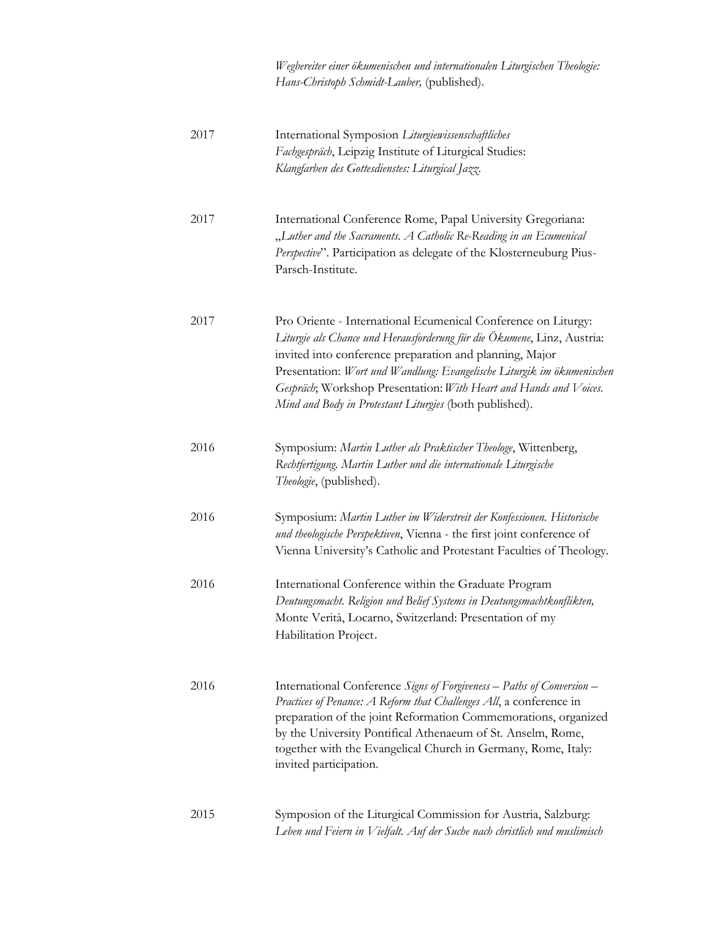*Wegbereiter einer ökumenischen und internationalen Liturgischen Theologie: Hans-Christoph Schmidt-Lauber,* (published).

| 2017 | International Symposion Liturgiewissenschaftliches<br>Fachgespräch, Leipzig Institute of Liturgical Studies:<br>Klangfarben des Gottesdienstes: Liturgical Jazz.                                                                                                                                                                                                                                              |
|------|---------------------------------------------------------------------------------------------------------------------------------------------------------------------------------------------------------------------------------------------------------------------------------------------------------------------------------------------------------------------------------------------------------------|
| 2017 | International Conference Rome, Papal University Gregoriana:<br>"Luther and the Sacraments. A Catholic Re-Reading in an Ecumenical<br>Perspective". Participation as delegate of the Klosterneuburg Pius-<br>Parsch-Institute.                                                                                                                                                                                 |
| 2017 | Pro Oriente - International Ecumenical Conference on Liturgy:<br>Liturgie als Chance und Herausforderung für die Ökumene, Linz, Austria:<br>invited into conference preparation and planning, Major<br>Presentation: Wort und Wandlung: Evangelische Liturgik im ökumenischen<br>Gespräch, Workshop Presentation: With Heart and Hands and Voices.<br>Mind and Body in Protestant Liturgies (both published). |
| 2016 | Symposium: Martin Luther als Praktischer Theologe, Wittenberg,<br>Rechtfertigung. Martin Luther und die internationale Liturgische<br>Theologie, (published).                                                                                                                                                                                                                                                 |
| 2016 | Symposium: Martin Luther im Widerstreit der Konfessionen. Historische<br>und theologische Perspektiven, Vienna - the first joint conference of<br>Vienna University's Catholic and Protestant Faculties of Theology.                                                                                                                                                                                          |
| 2016 | International Conference within the Graduate Program<br>Deutungsmacht. Religion und Belief Systems in Deutungsmachtkonflikten,<br>Monte Verità, Locarno, Switzerland: Presentation of my<br>Habilitation Project.                                                                                                                                                                                             |
| 2016 | International Conference Signs of Forgiveness - Paths of Conversion -<br>Practices of Penance: A Reform that Challenges All, a conference in<br>preparation of the joint Reformation Commemorations, organized<br>by the University Pontifical Athenaeum of St. Anselm, Rome,<br>together with the Evangelical Church in Germany, Rome, Italy:<br>invited participation.                                      |
| 2015 | Symposion of the Liturgical Commission for Austria, Salzburg:<br>Leben und Feiern in Vielfalt. Auf der Suche nach christlich und muslimisch                                                                                                                                                                                                                                                                   |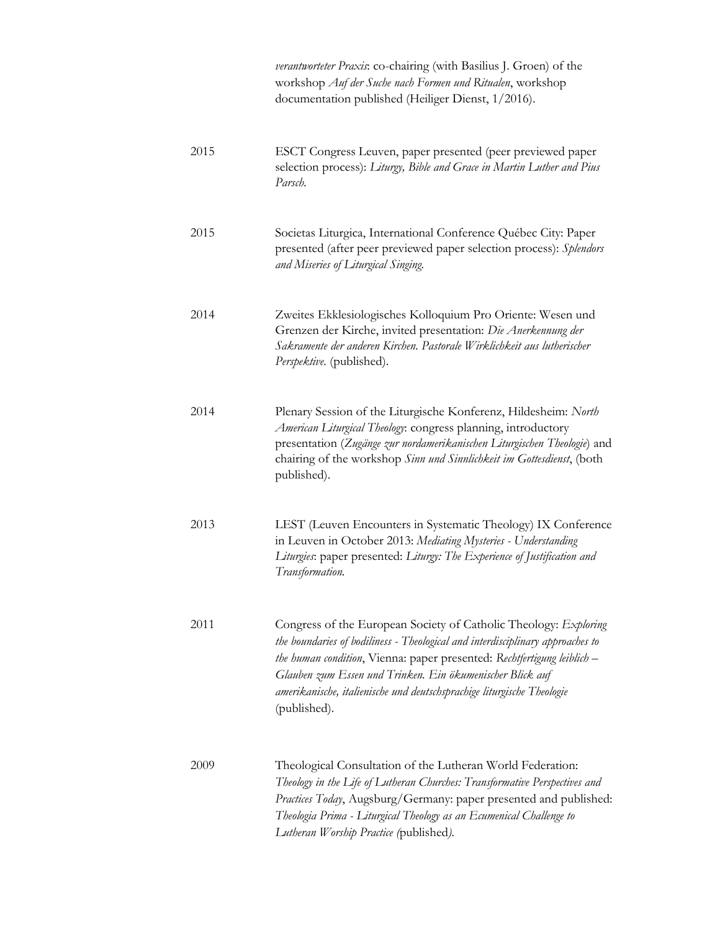*verantworteter Praxis*: co-chairing (with Basilius J. Groen) of the workshop *Auf der Suche nach Formen und Ritualen*, workshop documentation published (Heiliger Dienst, 1/2016).

- 2015 ESCT Congress Leuven, paper presented (peer previewed paper selection process): *Liturgy, Bible and Grace in Martin Luther and Pius Parsch.* 2015 Societas Liturgica, International Conference Québec City: Paper presented (after peer previewed paper selection process): *Splendors and Miseries of Liturgical Singing.* 2014 Zweites Ekklesiologisches Kolloquium Pro Oriente: Wesen und Grenzen der Kirche, invited presentation: *Die Anerkennung der Sakramente der anderen Kirchen. Pastorale Wirklichkeit aus lutherischer Perspektive.* (published). 2014 Plenary Session of the Liturgische Konferenz, Hildesheim: *North American Liturgical Theology*: congress planning, introductory presentation (*Zugänge zur nordamerikanischen Liturgischen Theologie*) and chairing of the workshop *Sinn und Sinnlichkeit im Gottesdienst*, (both published). 2013 LEST (Leuven Encounters in Systematic Theology) IX Conference in Leuven in October 2013: *Mediating Mysteries - Understanding Liturgies*: paper presented: *Liturgy: The Experience of Justification and Transformation.* 2011 Congress of the European Society of Catholic Theology: *Exploring the boundaries of bodiliness - Theological and interdisciplinary approaches to the human condition*, Vienna: paper presented: *Rechtfertigung leiblich – Glauben zum Essen und Trinken. Ein ökumenischer Blick auf amerikanische, italienische und deutschsprachige liturgische Theologie* (published). 2009 Theological Consultation of the Lutheran World Federation:
	- *Theology in the Life of Lutheran Churches: Transformative Perspectives and Practices Today*, Augsburg/Germany: paper presented and published: *Theologia Prima - Liturgical Theology as an Ecumenical Challenge to Lutheran Worship Practice (*published*).*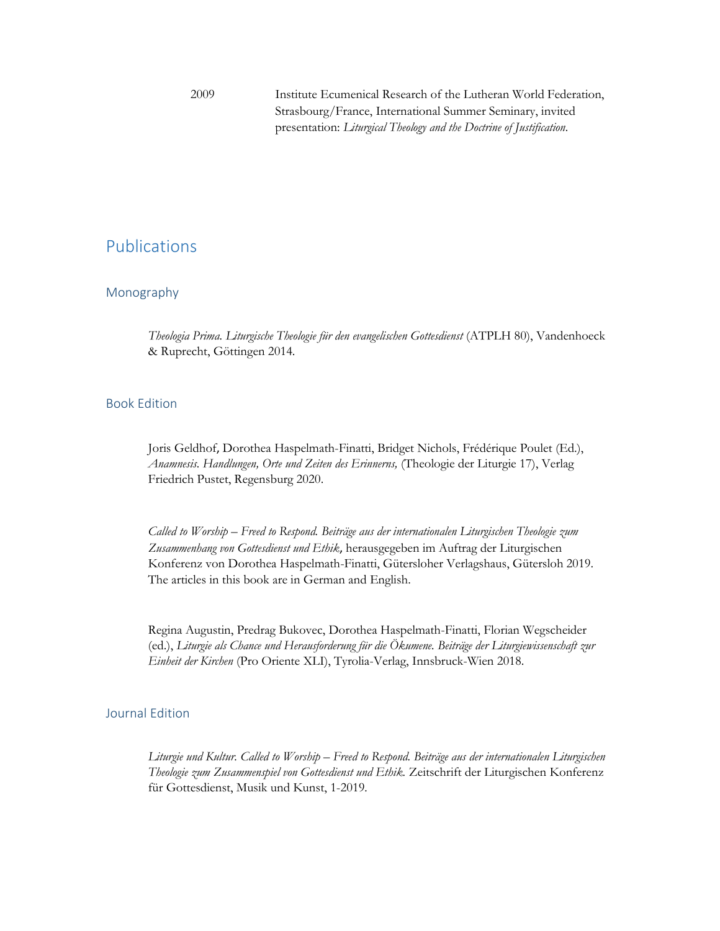2009 Institute Ecumenical Research of the Lutheran World Federation, Strasbourg/France, International Summer Seminary, invited presentation: *Liturgical Theology and the Doctrine of Justification.*

### Publications

#### Monography

*Theologia Prima. Liturgische Theologie für den evangelischen Gottesdienst* (ATPLH 80), Vandenhoeck & Ruprecht, Göttingen 2014.

#### Book Edition

Joris Geldhof, Dorothea Haspelmath-Finatti, Bridget Nichols, Frédérique Poulet (Ed.), *Anamnesis. Handlungen, Orte und Zeiten des Erinnerns,* (Theologie der Liturgie 17), Verlag Friedrich Pustet, Regensburg 2020.

*Called to Worship – Freed to Respond. Beiträge aus der internationalen Liturgischen Theologie zum Zusammenhang von Gottesdienst und Ethik*, herausgegeben im Auftrag der Liturgischen Konferenz von Dorothea Haspelmath-Finatti, Gütersloher Verlagshaus, Gütersloh 2019. The articles in this book are in German and English.

Regina Augustin, Predrag Bukovec, Dorothea Haspelmath-Finatti, Florian Wegscheider (ed.), *Liturgie als Chance und Herausforderung für die Ökumene. Beiträge der Liturgiewissenschaft zur Einheit der Kirchen* (Pro Oriente XLI), Tyrolia-Verlag, Innsbruck-Wien 2018.

#### Journal Edition

*Liturgie und Kultur. Called to Worship – Freed to Respond. Beiträge aus der internationalen Liturgischen Theologie zum Zusammenspiel von Gottesdienst und Ethik.* Zeitschrift der Liturgischen Konferenz für Gottesdienst, Musik und Kunst, 1-2019*.*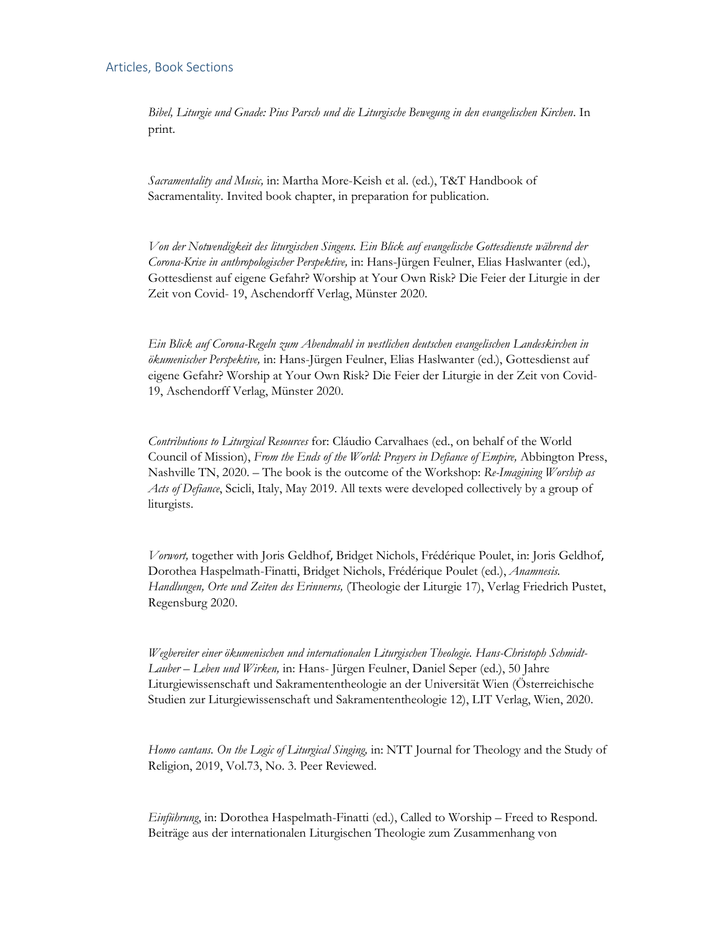*Bibel, Liturgie und Gnade: Pius Parsch und die Liturgische Bewegung in den evangelischen Kirchen*. In print.

*Sacramentality and Music,* in: Martha More-Keish et al. (ed.), T&T Handbook of Sacramentality. Invited book chapter, in preparation for publication.

*Von der Notwendigkeit des liturgischen Singens. Ein Blick auf evangelische Gottesdienste während der Corona-Krise in anthropologischer Perspektive,* in: Hans-Jürgen Feulner, Elias Haslwanter (ed.), Gottesdienst auf eigene Gefahr? Worship at Your Own Risk? Die Feier der Liturgie in der Zeit von Covid- 19, Aschendorff Verlag, Münster 2020.

*Ein Blick auf Corona-Regeln zum Abendmahl in westlichen deutschen evangelischen Landeskirchen in ökumenischer Perspektive,* in: Hans-Jürgen Feulner, Elias Haslwanter (ed.), Gottesdienst auf eigene Gefahr? Worship at Your Own Risk? Die Feier der Liturgie in der Zeit von Covid-19, Aschendorff Verlag, Münster 2020.

*Contributions to Liturgical Resources* for: Cláudio Carvalhaes (ed., on behalf of the World Council of Mission), *From the Ends of the World: Prayers in Defiance of Empire,* Abbington Press, Nashville TN, 2020. – The book is the outcome of the Workshop: *Re-Imagining Worship as Acts of Defiance*, Scicli, Italy, May 2019. All texts were developed collectively by a group of liturgists.

*Vorwort,* together with Joris Geldhof, Bridget Nichols, Frédérique Poulet, in: Joris Geldhof, Dorothea Haspelmath-Finatti, Bridget Nichols, Frédérique Poulet (ed.), *Anamnesis. Handlungen, Orte und Zeiten des Erinnerns,* (Theologie der Liturgie 17), Verlag Friedrich Pustet, Regensburg 2020.

*Wegbereiter einer ökumenischen und internationalen Liturgischen Theologie. Hans-Christoph Schmidt-Lauber – Leben und Wirken,* in: Hans- Jürgen Feulner, Daniel Seper (ed.), 50 Jahre Liturgiewissenschaft und Sakramententheologie an der Universität Wien (Österreichische Studien zur Liturgiewissenschaft und Sakramententheologie 12), LIT Verlag, Wien, 2020.

*Homo cantans. On the Logic of Liturgical Singing,* in: NTT Journal for Theology and the Study of Religion, 2019, Vol.73, No. 3. Peer Reviewed.

*Einführung*, in: Dorothea Haspelmath-Finatti (ed.), Called to Worship – Freed to Respond. Beiträge aus der internationalen Liturgischen Theologie zum Zusammenhang von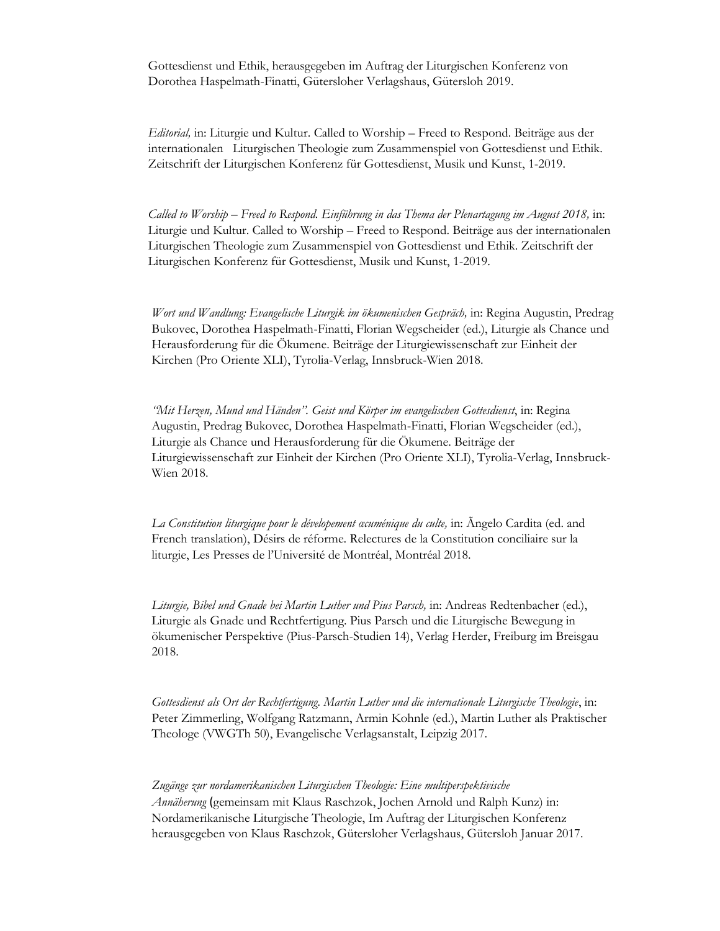Gottesdienst und Ethik, herausgegeben im Auftrag der Liturgischen Konferenz von Dorothea Haspelmath-Finatti, Gütersloher Verlagshaus, Gütersloh 2019.

*Editorial,* in: Liturgie und Kultur. Called to Worship – Freed to Respond. Beiträge aus der internationalen Liturgischen Theologie zum Zusammenspiel von Gottesdienst und Ethik. Zeitschrift der Liturgischen Konferenz für Gottesdienst, Musik und Kunst, 1-2019.

*Called to Worship – Freed to Respond. Einführung in das Thema der Plenartagung im August 2018,* in: Liturgie und Kultur. Called to Worship – Freed to Respond. Beiträge aus der internationalen Liturgischen Theologie zum Zusammenspiel von Gottesdienst und Ethik. Zeitschrift der Liturgischen Konferenz für Gottesdienst, Musik und Kunst, 1-2019.

*Wort und Wandlung: Evangelische Liturgik im ökumenischen Gespräch,* in: Regina Augustin, Predrag Bukovec, Dorothea Haspelmath-Finatti, Florian Wegscheider (ed.), Liturgie als Chance und Herausforderung für die Ökumene. Beiträge der Liturgiewissenschaft zur Einheit der Kirchen (Pro Oriente XLI), Tyrolia-Verlag, Innsbruck-Wien 2018.

*"Mit Herzen, Mund und Händen". Geist und Körper im evangelischen Gottesdienst*, in: Regina Augustin, Predrag Bukovec, Dorothea Haspelmath-Finatti, Florian Wegscheider (ed.), Liturgie als Chance und Herausforderung für die Ökumene. Beiträge der Liturgiewissenschaft zur Einheit der Kirchen (Pro Oriente XLI), Tyrolia-Verlag, Innsbruck-Wien 2018.

*La Constitution liturgique pour le dévelopement œcuménique du culte,* in: Ãngelo Cardita (ed. and French translation), Désirs de réforme. Relectures de la Constitution conciliaire sur la liturgie, Les Presses de l'Université de Montréal, Montréal 2018.

*Liturgie, Bibel und Gnade bei Martin Luther und Pius Parsch,* in: Andreas Redtenbacher (ed.), Liturgie als Gnade und Rechtfertigung. Pius Parsch und die Liturgische Bewegung in ökumenischer Perspektive (Pius-Parsch-Studien 14), Verlag Herder, Freiburg im Breisgau 2018.

*Gottesdienst als Ort der Rechtfertigung. Martin Luther und die internationale Liturgische Theologie*, in: Peter Zimmerling, Wolfgang Ratzmann, Armin Kohnle (ed.), Martin Luther als Praktischer Theologe (VWGTh 50), Evangelische Verlagsanstalt, Leipzig 2017.

*Zugänge zur nordamerikanischen Liturgischen Theologie: Eine multiperspektivische Annäherung* (gemeinsam mit Klaus Raschzok, Jochen Arnold und Ralph Kunz) in: Nordamerikanische Liturgische Theologie, Im Auftrag der Liturgischen Konferenz herausgegeben von Klaus Raschzok, Gütersloher Verlagshaus, Gütersloh Januar 2017.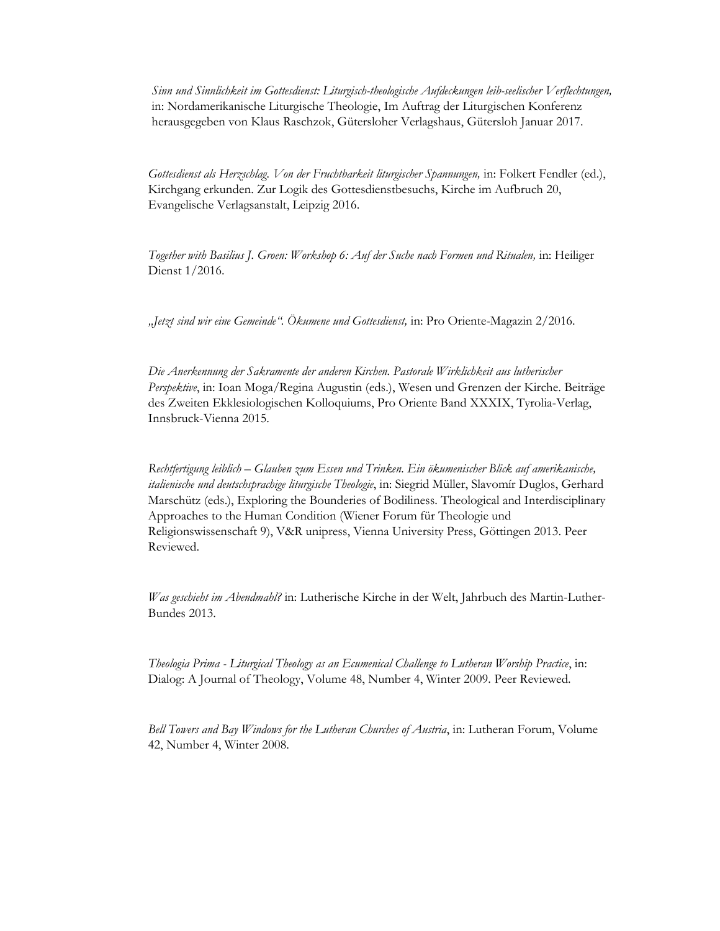*Sinn und Sinnlichkeit im Gottesdienst: Liturgisch-theologische Aufdeckungen leib-seelischer Verflechtungen,*  in: Nordamerikanische Liturgische Theologie, Im Auftrag der Liturgischen Konferenz herausgegeben von Klaus Raschzok, Gütersloher Verlagshaus, Gütersloh Januar 2017.

*Gottesdienst als Herzschlag. Von der Fruchtbarkeit liturgischer Spannungen,* in: Folkert Fendler (ed.), Kirchgang erkunden. Zur Logik des Gottesdienstbesuchs, Kirche im Aufbruch 20, Evangelische Verlagsanstalt, Leipzig 2016.

*Together with Basilius J. Groen: Workshop 6: Auf der Suche nach Formen und Ritualen,* in: Heiliger Dienst 1/2016.

*"Jetzt sind wir eine Gemeinde". Ökumene und Gottesdienst,* in: Pro Oriente-Magazin 2/2016.

*Die Anerkennung der Sakramente der anderen Kirchen. Pastorale Wirklichkeit aus lutherischer Perspektive*, in: Ioan Moga/Regina Augustin (eds.), Wesen und Grenzen der Kirche. Beiträge des Zweiten Ekklesiologischen Kolloquiums, Pro Oriente Band XXXIX, Tyrolia-Verlag, Innsbruck-Vienna 2015.

*Rechtfertigung leiblich – Glauben zum Essen und Trinken. Ein ökumenischer Blick auf amerikanische, italienische und deutschsprachige liturgische Theologie*, in: Siegrid Müller, Slavomír Duglos, Gerhard Marschütz (eds.), Exploring the Bounderies of Bodiliness. Theological and Interdisciplinary Approaches to the Human Condition (Wiener Forum für Theologie und Religionswissenschaft 9), V&R unipress, Vienna University Press, Göttingen 2013. Peer Reviewed.

*Was geschieht im Abendmahl?* in: Lutherische Kirche in der Welt, Jahrbuch des Martin-Luther-Bundes 2013.

*Theologia Prima - Liturgical Theology as an Ecumenical Challenge to Lutheran Worship Practice*, in: Dialog: A Journal of Theology, Volume 48, Number 4, Winter 2009. Peer Reviewed.

*Bell Towers and Bay Windows for the Lutheran Churches of Austria*, in: Lutheran Forum, Volume 42, Number 4, Winter 2008.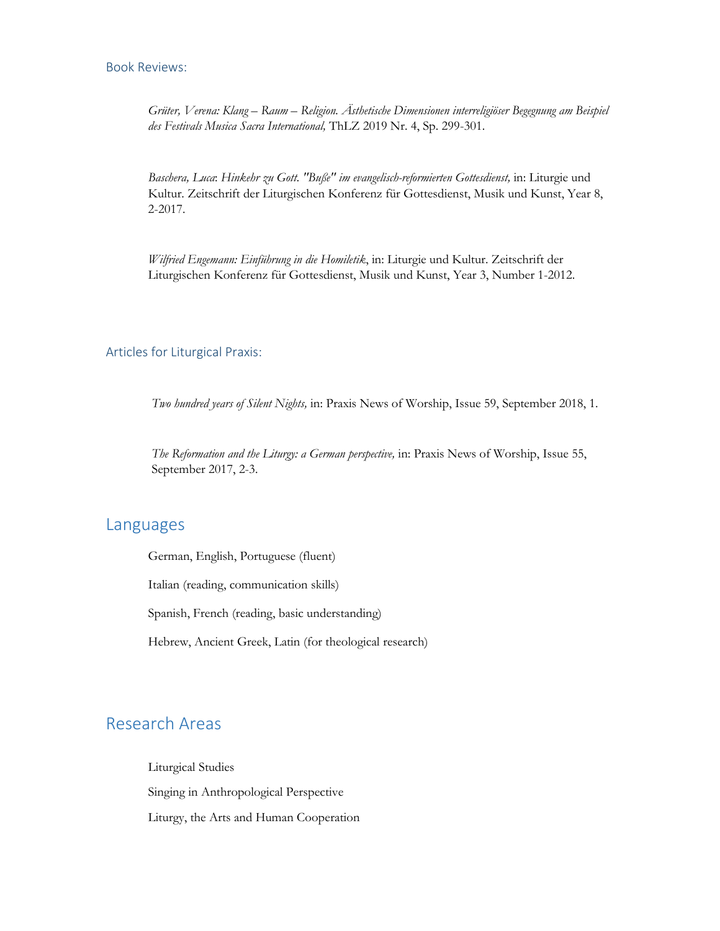#### Book Reviews:

*Grüter, Verena: Klang – Raum – Religion. Ästhetische Dimensionen interreligiöser Begegnung am Beispiel des Festivals Musica Sacra International,* ThLZ 2019 Nr. 4, Sp. 299-301.

*Baschera, Luca*: *Hinkehr zu Gott. "Buße" im evangelisch-reformierten Gottesdienst,* in: Liturgie und Kultur. Zeitschrift der Liturgischen Konferenz für Gottesdienst, Musik und Kunst, Year 8, 2-2017.

*Wilfried Engemann: Einführung in die Homiletik*, in: Liturgie und Kultur. Zeitschrift der Liturgischen Konferenz für Gottesdienst, Musik und Kunst, Year 3, Number 1-2012.

#### Articles for Liturgical Praxis:

*Two hundred years of Silent Nights,* in: Praxis News of Worship, Issue 59, September 2018, 1.

*The Reformation and the Liturgy: a German perspective,* in: Praxis News of Worship, Issue 55, September 2017, 2-3.

### Languages

German, English, Portuguese (fluent)

Italian (reading, communication skills)

Spanish, French (reading, basic understanding)

Hebrew, Ancient Greek, Latin (for theological research)

### Research Areas

Liturgical Studies Singing in Anthropological Perspective Liturgy, the Arts and Human Cooperation